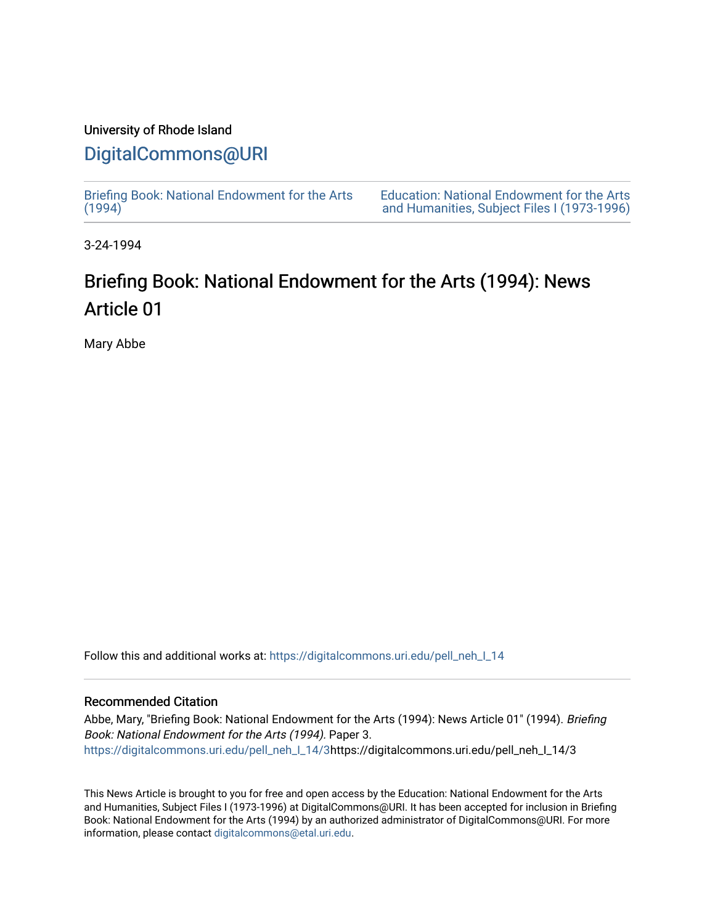### University of Rhode Island

### [DigitalCommons@URI](https://digitalcommons.uri.edu/)

[Briefing Book: National Endowment for the Arts](https://digitalcommons.uri.edu/pell_neh_I_14)  $(1994)$ 

[Education: National Endowment for the Arts](https://digitalcommons.uri.edu/pell_neh_I)  [and Humanities, Subject Files I \(1973-1996\)](https://digitalcommons.uri.edu/pell_neh_I) 

3-24-1994

## Briefing Book: National Endowment for the Arts (1994): News Article 01

Mary Abbe

Follow this and additional works at: [https://digitalcommons.uri.edu/pell\\_neh\\_I\\_14](https://digitalcommons.uri.edu/pell_neh_I_14?utm_source=digitalcommons.uri.edu%2Fpell_neh_I_14%2F3&utm_medium=PDF&utm_campaign=PDFCoverPages) 

#### Recommended Citation

Abbe, Mary, "Briefing Book: National Endowment for the Arts (1994): News Article 01" (1994). Briefing Book: National Endowment for the Arts (1994). Paper 3. [https://digitalcommons.uri.edu/pell\\_neh\\_I\\_14/3h](https://digitalcommons.uri.edu/pell_neh_I_14/3?utm_source=digitalcommons.uri.edu%2Fpell_neh_I_14%2F3&utm_medium=PDF&utm_campaign=PDFCoverPages)ttps://digitalcommons.uri.edu/pell\_neh\_I\_14/3

This News Article is brought to you for free and open access by the Education: National Endowment for the Arts and Humanities, Subject Files I (1973-1996) at DigitalCommons@URI. It has been accepted for inclusion in Briefing Book: National Endowment for the Arts (1994) by an authorized administrator of DigitalCommons@URI. For more information, please contact [digitalcommons@etal.uri.edu.](mailto:digitalcommons@etal.uri.edu)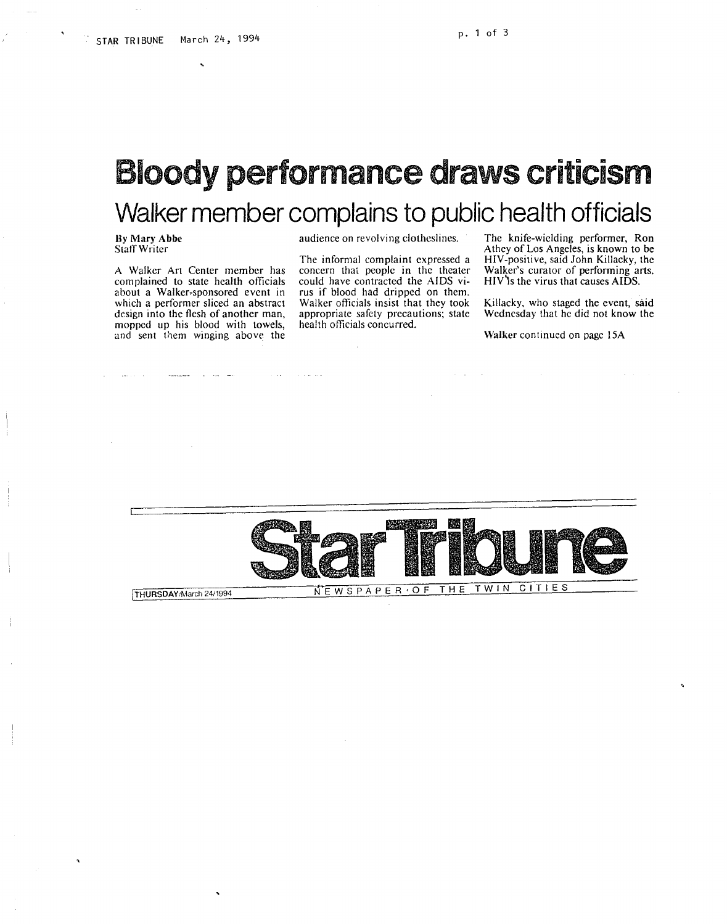# **Bloody performance draws criticism Walker member complains to public health officials**

By Mary Abbe Staff Writer

A Walker Art Center member has complained to state health officials about a Walker.sponsored event in which a performer sliced an abstract design into the flesh of another man, mopped up his blood with towels, and sent them winging above the

audience on revolving clotheslines.

The informal complaint expressed a concern that people in the theater could have contracted the AIDS virus if blood had dripped on them. Walker officials insist that they took appropriate safely precautions; state health officials concurred.

The knife-wielding performer, Ron Athey of Los Angeles, is known to be HIV-positive, said John Killacky, the Walker's curator of performing arts. HIV's the virus that causes AIDS.

Killacky, who staged the event, said Wednesday that he did not know the

Walker continued on page 15A

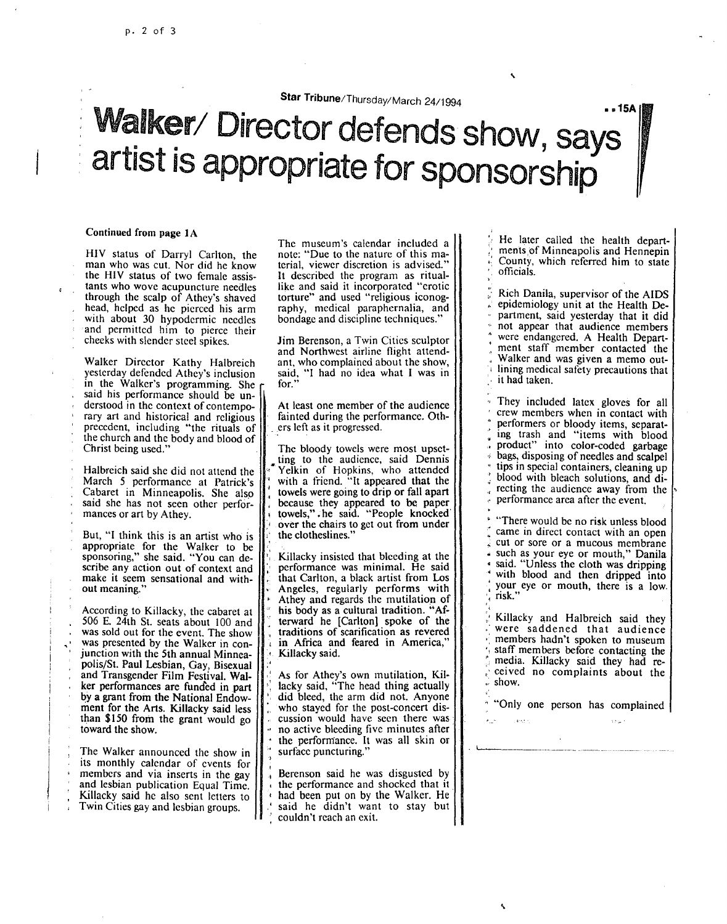**Star** Tribune/Thursday/March 24/1994

# Walker/ Director defends show, says artist is appropriate for sponsorship

#### Continued from page IA

HIV status of Darryl Carlton, the man who was cut. Nor did he know the HIV status of two female assistants who wove acupuncture needles through the scalp of Athey's shaved<br>head, helped as he pierced his arm with about 30 hypodermic needles and permitted him to pierce their checks with slender steel spikes.

Walker Director Kathy Halbreich<br>yesterday defended Athey's inclusion in the Walker's programming. She said his performance should be understood in the context of contemporary art and historical and religious precedent, including "the rituals of the church and the body and blood of Christ being used."

Halbreich said she did not attend the March *5* performance at Patrick's Cabaret in Minneapolis. She also said she has not seen other perfor- mances or art by Athey.

But, "I think this is an artist who is appropriate for the Walker to be sponsoring," she said. "You can describe any action out of context and make it seem sensational and without meaning."

According to Killacky, the cabaret at 506 E. 24th St. seats about 100 and was sold out for the event. The show was presented by the Walker in con- junction with the 5th annual Minneapolis/St. Paul Lesbian, Gay, Bisexual and Transgender Film Festival. Walker performances are funded in part by a grant from the National Endowment for the Arts. Killacky said less than \$150 from the grant would go toward the show.

The Walker announced the show in its monthly calendar of events for members and via inserts in the gay and lesbian publication Equal Time.<br>Killacky said he also sent letters to Twin Cities gay and lesbian groups.

The museum's calendar included a note: "Due to the nature of this ma- terial, viewer discretion is advised." It described the program as rituallikc and said it incorporated "erotic torture" and used "religious iconography, medical paraphernalia, and bondage and discipline techniques."

Jim Berenson, a Twin Cities sculptor and Northwest airline flight attendant, who complained about the show, said, "I had no idea what I was in for."

At least one member of the audience fainted during the performance. Others left as it progressed.

The bloody towels were most upset-<br>ting to the audience, said Dennis Yelkin of Hopkins, who attended with a friend. "It appeared that the towels were going to drip or fall apart because they appeared to be paper<br>towels," he said. "People knocked towels,". he said. "People knocked' 1 over the chairs to get out from under the clotheslines."

Killacky insisted that bleeding at the performance was minimal. He said that Carlton, a black artist from Los ' Angeles, regularly performs with " Athey and regards the mutilation of his body as a cultural tradition. "Afterward he [Carlton] spoke of the traditions of scarification as revered in Africa and feared in America,' Killacky said.

As for Athey's own mutilation, Killacky said, "The head thing actually did bleed, the arm did not. Anyone who stayed for the post-concert discussion would have seen there was no active bleeding five minutes after the performance. It was all skin or surface puncturing."

Berenson said he was disgusted by the performance and shocked that it had been put on by the Walker. He said he didn't want to stay but couldn't reach an exit.

He later called the health depart-<br>ments of Minneapolis and Hennepin County, which referred him to state officials.

 $.15A$ 

**Rich Danila, supervisor of the AIDS** epidemiology unit at the Health Department, said yesterday that it did not appear that audience members<br>were endangered. A Health Depart-<br>ment staff member contacted the Walker and was given a memo outlining medical safety precautions that it had taken.

They included latex gloves for all crew members when in contact with performers or bloody items, separating trash and "items with blood product" into color-coded garbage bags, disposing of needles and scalpel tips in special containers, cleaning up blood with bleach solutions, and directing the audience away from the performance area after the event.

"There would be no risk unless blood came in direct contact with an open cut or sore or a mucous membrane such as your eye or mouth," Danila said. "Unless the cloth was dripping with blood and then dripped into your eye or mouth, there is a low.<br>risk."

' Killacky and Halbreich said they were saddened that audience members hadn't spoken to museum staff members before contacting the media. Killacky said they had received no complaints about the ·show.

"Only one person has complained

 $\mathbf{r}$